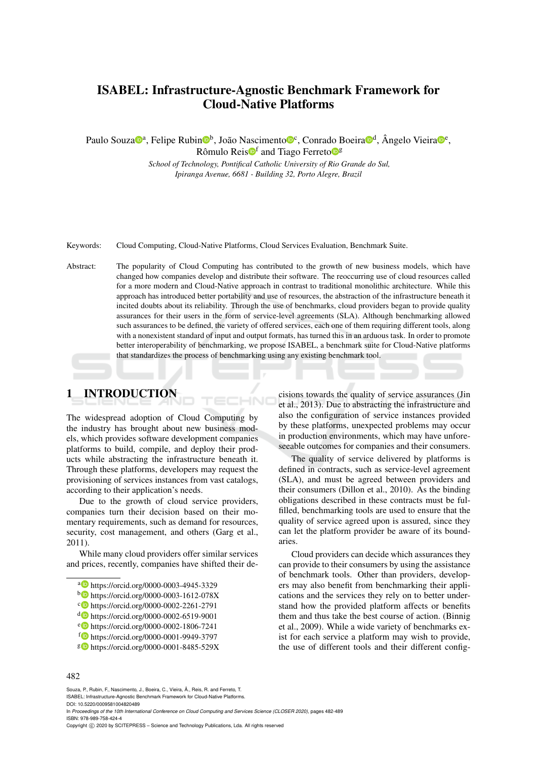# ISABEL: Infrastructure-Agnostic Benchmark Framework for Cloud-Native Platforms

Paulo Souza<sup>noa</sup>, Felipe Rubin<sup>nob</sup>, João Nascimenton<sup>o e</sup>, Conrado Boeiran<sup>o d</sup>, Ângelo Vieiran<sup>oe</sup>,

Rômulo Reis<sup>of</sup> and Tiago Ferreto<sup>og</sup>

*School of Technology, Pontifical Catholic University of Rio Grande do Sul, Ipiranga Avenue, 6681 - Building 32, Porto Alegre, Brazil*

Keywords: Cloud Computing, Cloud-Native Platforms, Cloud Services Evaluation, Benchmark Suite.

Abstract: The popularity of Cloud Computing has contributed to the growth of new business models, which have changed how companies develop and distribute their software. The reoccurring use of cloud resources called for a more modern and Cloud-Native approach in contrast to traditional monolithic architecture. While this approach has introduced better portability and use of resources, the abstraction of the infrastructure beneath it incited doubts about its reliability. Through the use of benchmarks, cloud providers began to provide quality assurances for their users in the form of service-level agreements (SLA). Although benchmarking allowed such assurances to be defined, the variety of offered services, each one of them requiring different tools, along with a nonexistent standard of input and output formats, has turned this in an arduous task. In order to promote better interoperability of benchmarking, we propose ISABEL, a benchmark suite for Cloud-Native platforms that standardizes the process of benchmarking using any existing benchmark tool.

HNC

## 1 INTRODUCTION

The widespread adoption of Cloud Computing by the industry has brought about new business models, which provides software development companies platforms to build, compile, and deploy their products while abstracting the infrastructure beneath it. Through these platforms, developers may request the provisioning of services instances from vast catalogs, according to their application's needs.

Due to the growth of cloud service providers, companies turn their decision based on their momentary requirements, such as demand for resources, security, cost management, and others (Garg et al., 2011).

While many cloud providers offer similar services and prices, recently, companies have shifted their de-

- a https://orcid.org/0000-0003-4945-3329
- <sup>b</sup> https://orcid.org/0000-0003-1612-078X
- <sup>c</sup> https://orcid.org/0000-0002-2261-2791
- <sup>d</sup> https://orcid.org/0000-0002-6519-9001
- <sup>e</sup> https://orcid.org/0000-0002-1806-7241
- <sup>f</sup> https://orcid.org/0000-0001-9949-3797
- <sup>g</sup> https://orcid.org/0000-0001-8485-529X

cisions towards the quality of service assurances (Jin et al., 2013). Due to abstracting the infrastructure and also the configuration of service instances provided by these platforms, unexpected problems may occur in production environments, which may have unforeseeable outcomes for companies and their consumers.

The quality of service delivered by platforms is defined in contracts, such as service-level agreement (SLA), and must be agreed between providers and their consumers (Dillon et al., 2010). As the binding obligations described in these contracts must be fulfilled, benchmarking tools are used to ensure that the quality of service agreed upon is assured, since they can let the platform provider be aware of its boundaries.

Cloud providers can decide which assurances they can provide to their consumers by using the assistance of benchmark tools. Other than providers, developers may also benefit from benchmarking their applications and the services they rely on to better understand how the provided platform affects or benefits them and thus take the best course of action. (Binnig et al., 2009). While a wide variety of benchmarks exist for each service a platform may wish to provide, the use of different tools and their different config-

#### 482

Souza, P., Rubin, F., Nascimento, J., Boeira, C., Vieira, Â., Reis, R. and Ferreto, T. ISABEL: Infrastructure-Agnostic Benchmark Framework for Cloud-Native Platforms.

DOI: 10.5220/0009581004820489

In *Proceedings of the 10th International Conference on Cloud Computing and Services Science (CLOSER 2020)*, pages 482-489 ISBN: 978-989-758-424-4

Copyright © 2020 by SCITEPRESS - Science and Technology Publications, Lda. All rights reserved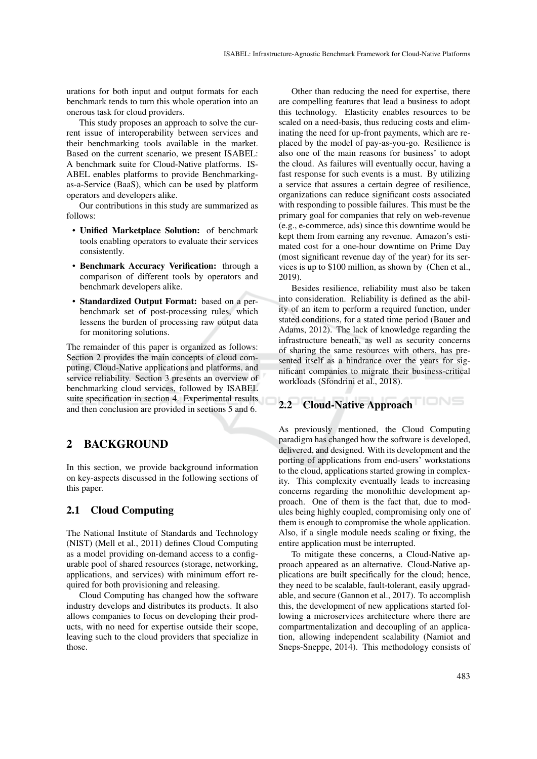urations for both input and output formats for each benchmark tends to turn this whole operation into an onerous task for cloud providers.

This study proposes an approach to solve the current issue of interoperability between services and their benchmarking tools available in the market. Based on the current scenario, we present ISABEL: A benchmark suite for Cloud-Native platforms. IS-ABEL enables platforms to provide Benchmarkingas-a-Service (BaaS), which can be used by platform operators and developers alike.

Our contributions in this study are summarized as follows:

- Unified Marketplace Solution: of benchmark tools enabling operators to evaluate their services consistently.
- Benchmark Accuracy Verification: through a comparison of different tools by operators and benchmark developers alike.
- Standardized Output Format: based on a perbenchmark set of post-processing rules, which lessens the burden of processing raw output data for monitoring solutions.

The remainder of this paper is organized as follows: Section 2 provides the main concepts of cloud computing, Cloud-Native applications and platforms, and service reliability. Section 3 presents an overview of benchmarking cloud services, followed by ISABEL suite specification in section 4. Experimental results and then conclusion are provided in sections 5 and 6.

### 2 BACKGROUND

In this section, we provide background information on key-aspects discussed in the following sections of this paper.

#### 2.1 Cloud Computing

The National Institute of Standards and Technology (NIST) (Mell et al., 2011) defines Cloud Computing as a model providing on-demand access to a configurable pool of shared resources (storage, networking, applications, and services) with minimum effort required for both provisioning and releasing.

Cloud Computing has changed how the software industry develops and distributes its products. It also allows companies to focus on developing their products, with no need for expertise outside their scope, leaving such to the cloud providers that specialize in those.

Other than reducing the need for expertise, there are compelling features that lead a business to adopt this technology. Elasticity enables resources to be scaled on a need-basis, thus reducing costs and eliminating the need for up-front payments, which are replaced by the model of pay-as-you-go. Resilience is also one of the main reasons for business' to adopt the cloud. As failures will eventually occur, having a fast response for such events is a must. By utilizing a service that assures a certain degree of resilience, organizations can reduce significant costs associated with responding to possible failures. This must be the primary goal for companies that rely on web-revenue (e.g., e-commerce, ads) since this downtime would be kept them from earning any revenue. Amazon's estimated cost for a one-hour downtime on Prime Day (most significant revenue day of the year) for its services is up to \$100 million, as shown by (Chen et al., 2019).

Besides resilience, reliability must also be taken into consideration. Reliability is defined as the ability of an item to perform a required function, under stated conditions, for a stated time period (Bauer and Adams, 2012). The lack of knowledge regarding the infrastructure beneath, as well as security concerns of sharing the same resources with others, has presented itself as a hindrance over the years for significant companies to migrate their business-critical workloads (Sfondrini et al., 2018).

# 2.2 Cloud-Native Approach

As previously mentioned, the Cloud Computing paradigm has changed how the software is developed, delivered, and designed. With its development and the porting of applications from end-users' workstations to the cloud, applications started growing in complexity. This complexity eventually leads to increasing concerns regarding the monolithic development approach. One of them is the fact that, due to modules being highly coupled, compromising only one of them is enough to compromise the whole application. Also, if a single module needs scaling or fixing, the entire application must be interrupted.

To mitigate these concerns, a Cloud-Native approach appeared as an alternative. Cloud-Native applications are built specifically for the cloud; hence, they need to be scalable, fault-tolerant, easily upgradable, and secure (Gannon et al., 2017). To accomplish this, the development of new applications started following a microservices architecture where there are compartmentalization and decoupling of an application, allowing independent scalability (Namiot and Sneps-Sneppe, 2014). This methodology consists of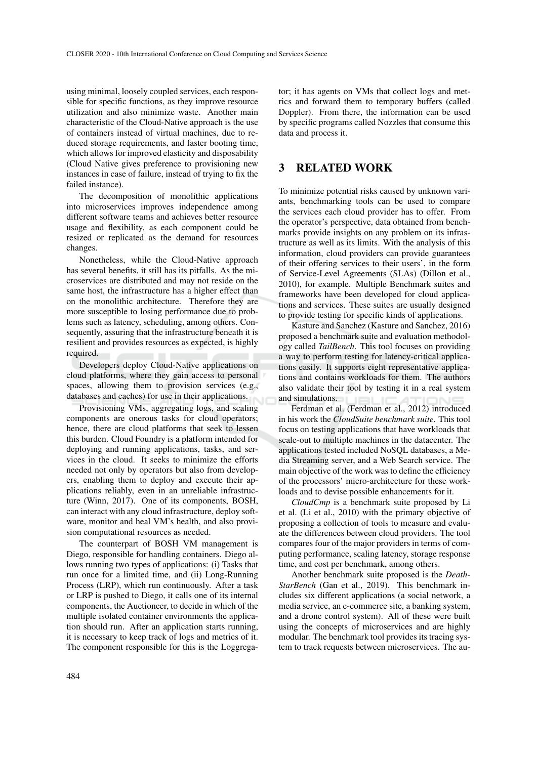using minimal, loosely coupled services, each responsible for specific functions, as they improve resource utilization and also minimize waste. Another main characteristic of the Cloud-Native approach is the use of containers instead of virtual machines, due to reduced storage requirements, and faster booting time, which allows for improved elasticity and disposability (Cloud Native gives preference to provisioning new instances in case of failure, instead of trying to fix the failed instance).

The decomposition of monolithic applications into microservices improves independence among different software teams and achieves better resource usage and flexibility, as each component could be resized or replicated as the demand for resources changes.

Nonetheless, while the Cloud-Native approach has several benefits, it still has its pitfalls. As the microservices are distributed and may not reside on the same host, the infrastructure has a higher effect than on the monolithic architecture. Therefore they are more susceptible to losing performance due to problems such as latency, scheduling, among others. Consequently, assuring that the infrastructure beneath it is resilient and provides resources as expected, is highly required.

Developers deploy Cloud-Native applications on cloud platforms, where they gain access to personal spaces, allowing them to provision services (e.g., databases and caches) for use in their applications.

Provisioning VMs, aggregating logs, and scaling components are onerous tasks for cloud operators; hence, there are cloud platforms that seek to lessen this burden. Cloud Foundry is a platform intended for deploying and running applications, tasks, and services in the cloud. It seeks to minimize the efforts needed not only by operators but also from developers, enabling them to deploy and execute their applications reliably, even in an unreliable infrastructure (Winn, 2017). One of its components, BOSH, can interact with any cloud infrastructure, deploy software, monitor and heal VM's health, and also provision computational resources as needed.

The counterpart of BOSH VM management is Diego, responsible for handling containers. Diego allows running two types of applications: (i) Tasks that run once for a limited time, and (ii) Long-Running Process (LRP), which run continuously. After a task or LRP is pushed to Diego, it calls one of its internal components, the Auctioneer, to decide in which of the multiple isolated container environments the application should run. After an application starts running, it is necessary to keep track of logs and metrics of it. The component responsible for this is the Loggregator; it has agents on VMs that collect logs and metrics and forward them to temporary buffers (called Doppler). From there, the information can be used by specific programs called Nozzles that consume this data and process it.

#### 3 RELATED WORK

To minimize potential risks caused by unknown variants, benchmarking tools can be used to compare the services each cloud provider has to offer. From the operator's perspective, data obtained from benchmarks provide insights on any problem on its infrastructure as well as its limits. With the analysis of this information, cloud providers can provide guarantees of their offering services to their users', in the form of Service-Level Agreements (SLAs) (Dillon et al., 2010), for example. Multiple Benchmark suites and frameworks have been developed for cloud applications and services. These suites are usually designed to provide testing for specific kinds of applications.

Kasture and Sanchez (Kasture and Sanchez, 2016) proposed a benchmark suite and evaluation methodology called *TailBench*. This tool focuses on providing a way to perform testing for latency-critical applications easily. It supports eight representative applications and contains workloads for them. The authors also validate their tool by testing it in a real system and simulations.

Ferdman et al. (Ferdman et al., 2012) introduced in his work the *CloudSuite benchmark suite*. This tool focus on testing applications that have workloads that scale-out to multiple machines in the datacenter. The applications tested included NoSQL databases, a Media Streaming server, and a Web Search service. The main objective of the work was to define the efficiency of the processors' micro-architecture for these workloads and to devise possible enhancements for it.

*CloudCmp* is a benchmark suite proposed by Li et al. (Li et al., 2010) with the primary objective of proposing a collection of tools to measure and evaluate the differences between cloud providers. The tool compares four of the major providers in terms of computing performance, scaling latency, storage response time, and cost per benchmark, among others.

Another benchmark suite proposed is the *Death-StarBench* (Gan et al., 2019). This benchmark includes six different applications (a social network, a media service, an e-commerce site, a banking system, and a drone control system). All of these were built using the concepts of microservices and are highly modular. The benchmark tool provides its tracing system to track requests between microservices. The au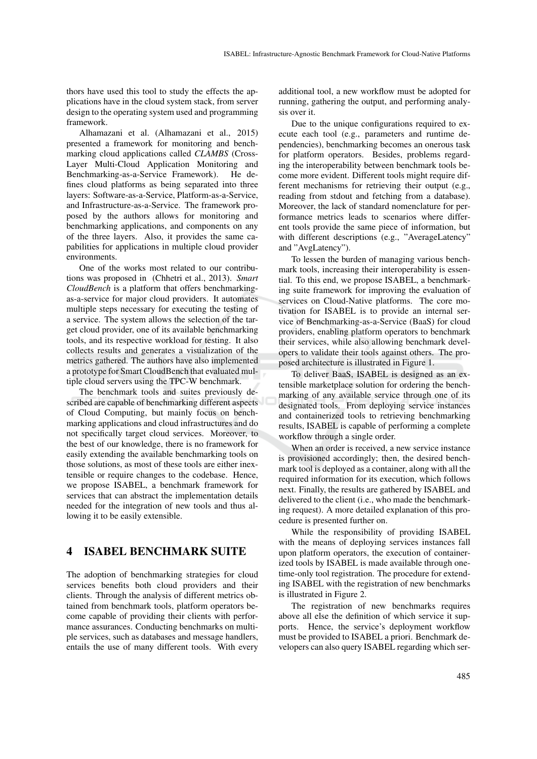thors have used this tool to study the effects the applications have in the cloud system stack, from server design to the operating system used and programming framework.

Alhamazani et al. (Alhamazani et al., 2015) presented a framework for monitoring and benchmarking cloud applications called *CLAMBS* (Cross-Layer Multi-Cloud Application Monitoring and Benchmarking-as-a-Service Framework). He defines cloud platforms as being separated into three layers: Software-as-a-Service, Platform-as-a-Service, and Infrastructure-as-a-Service. The framework proposed by the authors allows for monitoring and benchmarking applications, and components on any of the three layers. Also, it provides the same capabilities for applications in multiple cloud provider environments.

One of the works most related to our contributions was proposed in (Chhetri et al., 2013). *Smart CloudBench* is a platform that offers benchmarkingas-a-service for major cloud providers. It automates multiple steps necessary for executing the testing of a service. The system allows the selection of the target cloud provider, one of its available benchmarking tools, and its respective workload for testing. It also collects results and generates a visualization of the metrics gathered. The authors have also implemented a prototype for Smart CloudBench that evaluated multiple cloud servers using the TPC-W benchmark.

The benchmark tools and suites previously described are capable of benchmarking different aspects of Cloud Computing, but mainly focus on benchmarking applications and cloud infrastructures and do not specifically target cloud services. Moreover, to the best of our knowledge, there is no framework for easily extending the available benchmarking tools on those solutions, as most of these tools are either inextensible or require changes to the codebase. Hence, we propose ISABEL, a benchmark framework for services that can abstract the implementation details needed for the integration of new tools and thus allowing it to be easily extensible.

#### 4 ISABEL BENCHMARK SUITE

The adoption of benchmarking strategies for cloud services benefits both cloud providers and their clients. Through the analysis of different metrics obtained from benchmark tools, platform operators become capable of providing their clients with performance assurances. Conducting benchmarks on multiple services, such as databases and message handlers, entails the use of many different tools. With every

additional tool, a new workflow must be adopted for running, gathering the output, and performing analysis over it.

Due to the unique configurations required to execute each tool (e.g., parameters and runtime dependencies), benchmarking becomes an onerous task for platform operators. Besides, problems regarding the interoperability between benchmark tools become more evident. Different tools might require different mechanisms for retrieving their output (e.g., reading from stdout and fetching from a database). Moreover, the lack of standard nomenclature for performance metrics leads to scenarios where different tools provide the same piece of information, but with different descriptions (e.g., "AverageLatency" and "AvgLatency").

To lessen the burden of managing various benchmark tools, increasing their interoperability is essential. To this end, we propose ISABEL, a benchmarking suite framework for improving the evaluation of services on Cloud-Native platforms. The core motivation for ISABEL is to provide an internal service of Benchmarking-as-a-Service (BaaS) for cloud providers, enabling platform operators to benchmark their services, while also allowing benchmark developers to validate their tools against others. The proposed architecture is illustrated in Figure 1.

To deliver BaaS, ISABEL is designed as an extensible marketplace solution for ordering the benchmarking of any available service through one of its designated tools. From deploying service instances and containerized tools to retrieving benchmarking results, ISABEL is capable of performing a complete workflow through a single order.

When an order is received, a new service instance is provisioned accordingly; then, the desired benchmark tool is deployed as a container, along with all the required information for its execution, which follows next. Finally, the results are gathered by ISABEL and delivered to the client (i.e., who made the benchmarking request). A more detailed explanation of this procedure is presented further on.

While the responsibility of providing ISABEL with the means of deploying services instances fall upon platform operators, the execution of containerized tools by ISABEL is made available through onetime-only tool registration. The procedure for extending ISABEL with the registration of new benchmarks is illustrated in Figure 2.

The registration of new benchmarks requires above all else the definition of which service it supports. Hence, the service's deployment workflow must be provided to ISABEL a priori. Benchmark developers can also query ISABEL regarding which ser-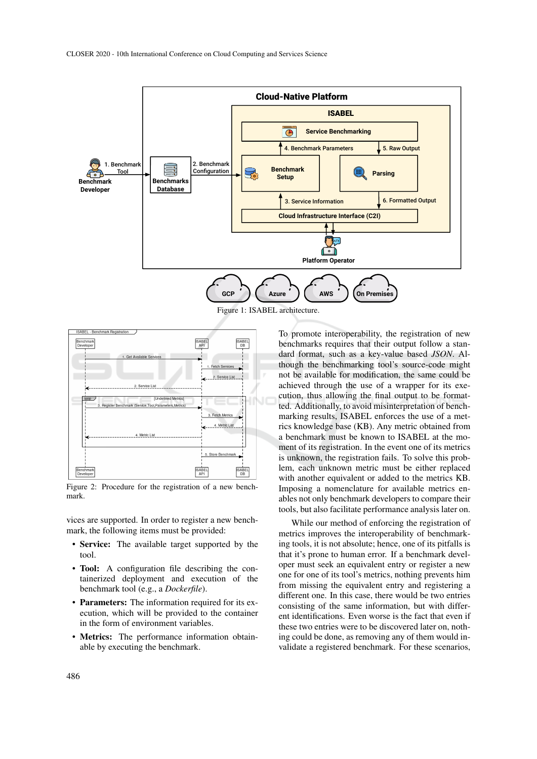

Figure 1: ISABEL architecture.



Figure 2: Procedure for the registration of a new benchmark.

vices are supported. In order to register a new benchmark, the following items must be provided:

- Service: The available target supported by the tool.
- Tool: A configuration file describing the containerized deployment and execution of the benchmark tool (e.g., a *Dockerfile*).
- Parameters: The information required for its execution, which will be provided to the container in the form of environment variables.
- Metrics: The performance information obtainable by executing the benchmark.

To promote interoperability, the registration of new benchmarks requires that their output follow a standard format, such as a key-value based *JSON*. Although the benchmarking tool's source-code might not be available for modification, the same could be achieved through the use of a wrapper for its execution, thus allowing the final output to be formatted. Additionally, to avoid misinterpretation of benchmarking results, ISABEL enforces the use of a metrics knowledge base (KB). Any metric obtained from a benchmark must be known to ISABEL at the moment of its registration. In the event one of its metrics is unknown, the registration fails. To solve this problem, each unknown metric must be either replaced with another equivalent or added to the metrics KB. Imposing a nomenclature for available metrics enables not only benchmark developers to compare their tools, but also facilitate performance analysis later on.

While our method of enforcing the registration of metrics improves the interoperability of benchmarking tools, it is not absolute; hence, one of its pitfalls is that it's prone to human error. If a benchmark developer must seek an equivalent entry or register a new one for one of its tool's metrics, nothing prevents him from missing the equivalent entry and registering a different one. In this case, there would be two entries consisting of the same information, but with different identifications. Even worse is the fact that even if these two entries were to be discovered later on, nothing could be done, as removing any of them would invalidate a registered benchmark. For these scenarios,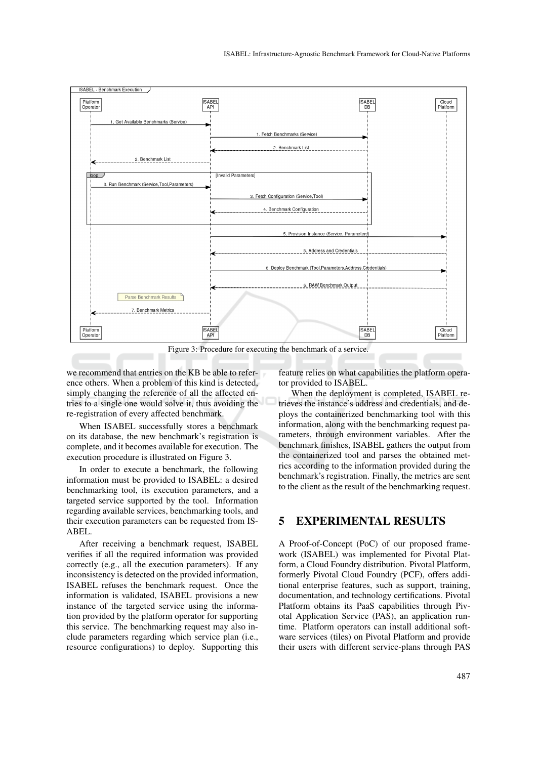

Figure 3: Procedure for executing the benchmark of a service.

we recommend that entries on the KB be able to reference others. When a problem of this kind is detected, simply changing the reference of all the affected entries to a single one would solve it, thus avoiding the re-registration of every affected benchmark.

When ISABEL successfully stores a benchmark on its database, the new benchmark's registration is complete, and it becomes available for execution. The execution procedure is illustrated on Figure 3.

In order to execute a benchmark, the following information must be provided to ISABEL: a desired benchmarking tool, its execution parameters, and a targeted service supported by the tool. Information regarding available services, benchmarking tools, and their execution parameters can be requested from IS-ABEL.

After receiving a benchmark request, ISABEL verifies if all the required information was provided correctly (e.g., all the execution parameters). If any inconsistency is detected on the provided information, ISABEL refuses the benchmark request. Once the information is validated, ISABEL provisions a new instance of the targeted service using the information provided by the platform operator for supporting this service. The benchmarking request may also include parameters regarding which service plan (i.e., resource configurations) to deploy. Supporting this

feature relies on what capabilities the platform operator provided to ISABEL.

When the deployment is completed, ISABEL retrieves the instance's address and credentials, and deploys the containerized benchmarking tool with this information, along with the benchmarking request parameters, through environment variables. After the benchmark finishes, ISABEL gathers the output from the containerized tool and parses the obtained metrics according to the information provided during the benchmark's registration. Finally, the metrics are sent to the client as the result of the benchmarking request.

#### 5 EXPERIMENTAL RESULTS

A Proof-of-Concept (PoC) of our proposed framework (ISABEL) was implemented for Pivotal Platform, a Cloud Foundry distribution. Pivotal Platform, formerly Pivotal Cloud Foundry (PCF), offers additional enterprise features, such as support, training, documentation, and technology certifications. Pivotal Platform obtains its PaaS capabilities through Pivotal Application Service (PAS), an application runtime. Platform operators can install additional software services (tiles) on Pivotal Platform and provide their users with different service-plans through PAS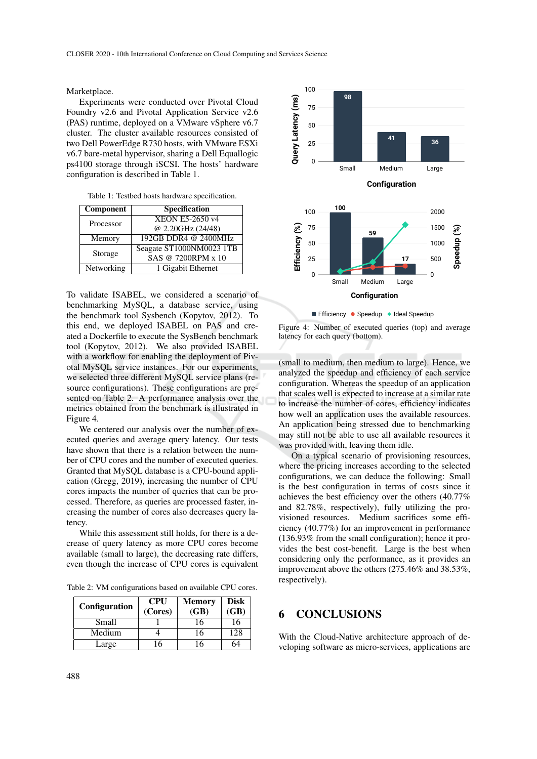Marketplace.

Experiments were conducted over Pivotal Cloud Foundry v2.6 and Pivotal Application Service v2.6 (PAS) runtime, deployed on a VMware vSphere v6.7 cluster. The cluster available resources consisted of two Dell PowerEdge R730 hosts, with VMware ESXi v6.7 bare-metal hypervisor, sharing a Dell Equallogic ps4100 storage through iSCSI. The hosts' hardware configuration is described in Table 1.

Table 1: Testbed hosts hardware specification.

| Component  | <b>Specification</b>     |  |  |
|------------|--------------------------|--|--|
| Processor  | <b>XEON E5-2650 v4</b>   |  |  |
|            | @ 2.20GHz (24/48)        |  |  |
| Memory     | 192GB DDR4 @ 2400MHz     |  |  |
| Storage    | Seagate ST1000NM0023 1TB |  |  |
|            | SAS @ 7200RPM x 10       |  |  |
| Networking | 1 Gigabit Ethernet       |  |  |

To validate ISABEL, we considered a scenario of benchmarking MySQL, a database service, using the benchmark tool Sysbench (Kopytov, 2012). To this end, we deployed ISABEL on PAS and created a Dockerfile to execute the SysBench benchmark tool (Kopytov, 2012). We also provided ISABEL with a workflow for enabling the deployment of Pivotal MySQL service instances. For our experiments, we selected three different MySQL service plans (resource configurations). These configurations are presented on Table 2. A performance analysis over the metrics obtained from the benchmark is illustrated in Figure 4.

We centered our analysis over the number of executed queries and average query latency. Our tests have shown that there is a relation between the number of CPU cores and the number of executed queries. Granted that MySQL database is a CPU-bound application (Gregg, 2019), increasing the number of CPU cores impacts the number of queries that can be processed. Therefore, as queries are processed faster, increasing the number of cores also decreases query latency.

While this assessment still holds, for there is a decrease of query latency as more CPU cores become available (small to large), the decreasing rate differs, even though the increase of CPU cores is equivalent

Table 2: VM configurations based on available CPU cores.

| <b>Configuration</b> | <b>CPU</b><br>(Cores) | <b>Memory</b><br>(GB) | <b>Disk</b><br>(GB) |
|----------------------|-----------------------|-----------------------|---------------------|
| Small                |                       | 16                    | 16                  |
| Medium               |                       | 16                    | 128                 |
| Large                |                       | 6                     |                     |



**Efficiency • Speedup • Ideal Speedup** 

Figure 4: Number of executed queries (top) and average latency for each query (bottom).

(small to medium, then medium to large). Hence, we analyzed the speedup and efficiency of each service configuration. Whereas the speedup of an application that scales well is expected to increase at a similar rate to increase the number of cores, efficiency indicates how well an application uses the available resources. An application being stressed due to benchmarking may still not be able to use all available resources it was provided with, leaving them idle.

On a typical scenario of provisioning resources, where the pricing increases according to the selected configurations, we can deduce the following: Small is the best configuration in terms of costs since it achieves the best efficiency over the others (40.77% and 82.78%, respectively), fully utilizing the provisioned resources. Medium sacrifices some efficiency (40.77%) for an improvement in performance (136.93% from the small configuration); hence it provides the best cost-benefit. Large is the best when considering only the performance, as it provides an improvement above the others (275.46% and 38.53%, respectively).

#### 6 CONCLUSIONS

With the Cloud-Native architecture approach of developing software as micro-services, applications are